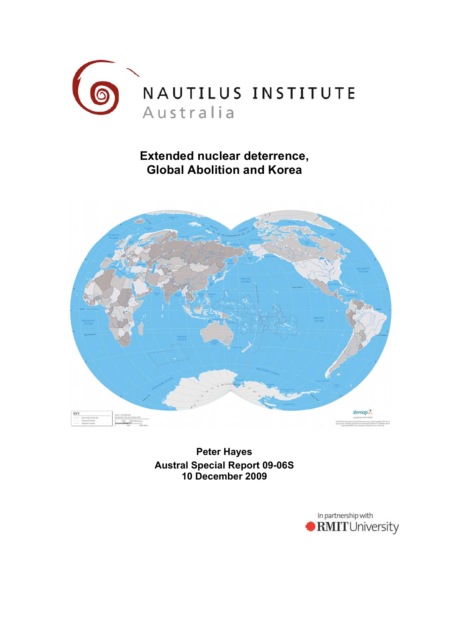

# **Extended nuclear deterrence, Global Abolition and Korea**



**Peter Hayes Austral Special Report 09-06S 10 December 2009**

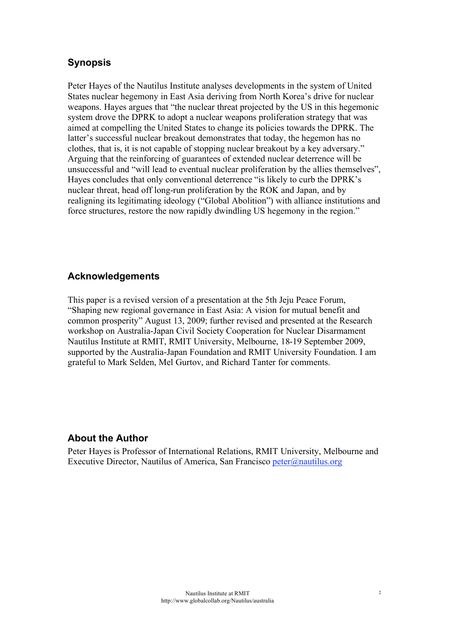# **Synopsis**

Peter Hayes of the Nautilus Institute analyses developments in the system of United States nuclear hegemony in East Asia deriving from North Korea's drive for nuclear weapons. Hayes argues that "the nuclear threat projected by the US in this hegemonic system drove the DPRK to adopt a nuclear weapons proliferation strategy that was aimed at compelling the United States to change its policies towards the DPRK. The latter's successful nuclear breakout demonstrates that today, the hegemon has no clothes, that is, it is not capable of stopping nuclear breakout by a key adversary." Arguing that the reinforcing of guarantees of extended nuclear deterrence will be unsuccessful and "will lead to eventual nuclear proliferation by the allies themselves", Hayes concludes that only conventional deterrence "is likely to curb the DPRK's nuclear threat, head off long-run proliferation by the ROK and Japan, and by realigning its legitimating ideology ("Global Abolition") with alliance institutions and force structures, restore the now rapidly dwindling US hegemony in the region."

### **Acknowledgements**

This paper is a revised version of a presentation at the 5th Jeju Peace Forum, "Shaping new regional governance in East Asia: A vision for mutual benefit and common prosperity" August 13, 2009; further revised and presented at the Research workshop on Australia-Japan Civil Society Cooperation for Nuclear Disarmament Nautilus Institute at RMIT, RMIT University, Melbourne, 18-19 September 2009, supported by the Australia-Japan Foundation and RMIT University Foundation. I am grateful to Mark Selden, Mel Gurtov, and Richard Tanter for comments.

#### **About the Author**

Peter Hayes is Professor of International Relations, RMIT University, Melbourne and Executive Director, Nautilus of America, San Francisco peter@nautilus.org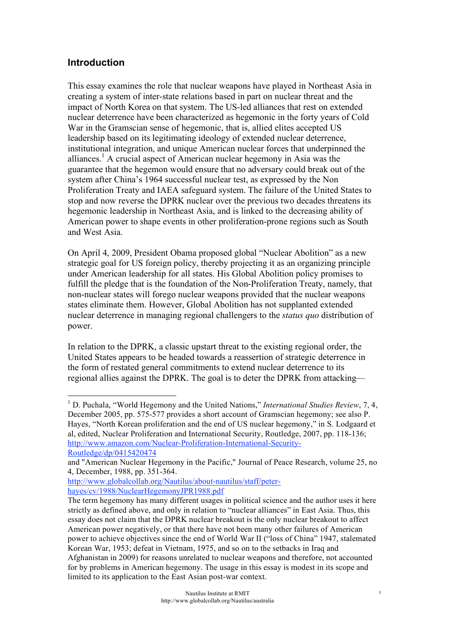#### **Introduction**

This essay examines the role that nuclear weapons have played in Northeast Asia in creating a system of inter-state relations based in part on nuclear threat and the impact of North Korea on that system. The US-led alliances that rest on extended nuclear deterrence have been characterized as hegemonic in the forty years of Cold War in the Gramscian sense of hegemonic, that is, allied elites accepted US leadership based on its legitimating ideology of extended nuclear deterrence, institutional integration, and unique American nuclear forces that underpinned the alliances.<sup>1</sup> A crucial aspect of American nuclear hegemony in Asia was the guarantee that the hegemon would ensure that no adversary could break out of the system after China's 1964 successful nuclear test, as expressed by the Non Proliferation Treaty and IAEA safeguard system. The failure of the United States to stop and now reverse the DPRK nuclear over the previous two decades threatens its hegemonic leadership in Northeast Asia, and is linked to the decreasing ability of American power to shape events in other proliferation-prone regions such as South and West Asia.

On April 4, 2009, President Obama proposed global "Nuclear Abolition" as a new strategic goal for US foreign policy, thereby projecting it as an organizing principle under American leadership for all states. His Global Abolition policy promises to fulfill the pledge that is the foundation of the Non-Proliferation Treaty, namely, that non-nuclear states will forego nuclear weapons provided that the nuclear weapons states eliminate them. However, Global Abolition has not supplanted extended nuclear deterrence in managing regional challengers to the *status quo* distribution of power.

In relation to the DPRK, a classic upstart threat to the existing regional order, the United States appears to be headed towards a reassertion of strategic deterrence in the form of restated general commitments to extend nuclear deterrence to its regional allies against the DPRK. The goal is to deter the DPRK from attacking—

 $\frac{1}{1}$  D. Puchala, "World Hegemony and the United Nations," *International Studies Review*, 7, 4, December 2005, pp. 575-577 provides a short account of Gramscian hegemony; see also P. Hayes, "North Korean proliferation and the end of US nuclear hegemony," in S. Lodgaard et al, edited, Nuclear Proliferation and International Security, Routledge, 2007, pp. 118-136; http://www.amazon.com/Nuclear-Proliferation-International-Security-Routledge/dp/0415420474

and "American Nuclear Hegemony in the Pacific," Journal of Peace Research, volume 25, no 4, December, 1988, pp. 351-364.

http://www.globalcollab.org/Nautilus/about-nautilus/staff/peterhayes/cv/1988/NuclearHegemonyJPR1988.pdf

The term hegemony has many different usages in political science and the author uses it here strictly as defined above, and only in relation to "nuclear alliances" in East Asia. Thus, this essay does not claim that the DPRK nuclear breakout is the only nuclear breakout to affect American power negatively, or that there have not been many other failures of American power to achieve objectives since the end of World War II ("loss of China" 1947, stalemated Korean War, 1953; defeat in Vietnam, 1975, and so on to the setbacks in Iraq and Afghanistan in 2009) for reasons unrelated to nuclear weapons and therefore, not accounted for by problems in American hegemony. The usage in this essay is modest in its scope and limited to its application to the East Asian post-war context.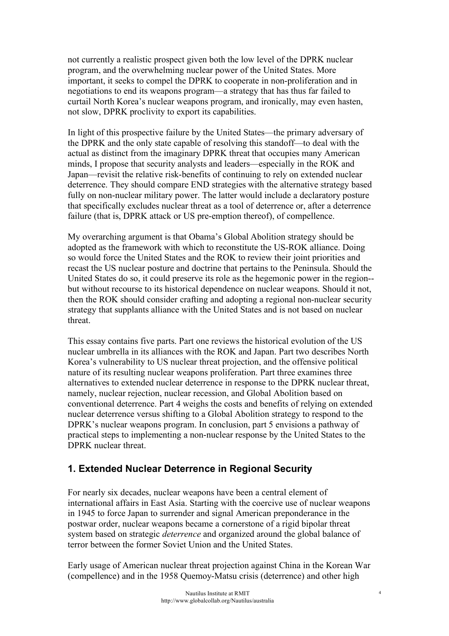not currently a realistic prospect given both the low level of the DPRK nuclear program, and the overwhelming nuclear power of the United States. More important, it seeks to compel the DPRK to cooperate in non-proliferation and in negotiations to end its weapons program—a strategy that has thus far failed to curtail North Korea's nuclear weapons program, and ironically, may even hasten, not slow, DPRK proclivity to export its capabilities.

In light of this prospective failure by the United States—the primary adversary of the DPRK and the only state capable of resolving this standoff—to deal with the actual as distinct from the imaginary DPRK threat that occupies many American minds, I propose that security analysts and leaders—especially in the ROK and Japan—revisit the relative risk-benefits of continuing to rely on extended nuclear deterrence. They should compare END strategies with the alternative strategy based fully on non-nuclear military power. The latter would include a declaratory posture that specifically excludes nuclear threat as a tool of deterrence or, after a deterrence failure (that is, DPRK attack or US pre-emption thereof), of compellence.

My overarching argument is that Obama's Global Abolition strategy should be adopted as the framework with which to reconstitute the US-ROK alliance. Doing so would force the United States and the ROK to review their joint priorities and recast the US nuclear posture and doctrine that pertains to the Peninsula. Should the United States do so, it could preserve its role as the hegemonic power in the region- but without recourse to its historical dependence on nuclear weapons. Should it not, then the ROK should consider crafting and adopting a regional non-nuclear security strategy that supplants alliance with the United States and is not based on nuclear threat.

This essay contains five parts. Part one reviews the historical evolution of the US nuclear umbrella in its alliances with the ROK and Japan. Part two describes North Korea's vulnerability to US nuclear threat projection, and the offensive political nature of its resulting nuclear weapons proliferation. Part three examines three alternatives to extended nuclear deterrence in response to the DPRK nuclear threat, namely, nuclear rejection, nuclear recession, and Global Abolition based on conventional deterrence. Part 4 weighs the costs and benefits of relying on extended nuclear deterrence versus shifting to a Global Abolition strategy to respond to the DPRK's nuclear weapons program. In conclusion, part 5 envisions a pathway of practical steps to implementing a non-nuclear response by the United States to the DPRK nuclear threat.

# **1. Extended Nuclear Deterrence in Regional Security**

For nearly six decades, nuclear weapons have been a central element of international affairs in East Asia. Starting with the coercive use of nuclear weapons in 1945 to force Japan to surrender and signal American preponderance in the postwar order, nuclear weapons became a cornerstone of a rigid bipolar threat system based on strategic *deterrence* and organized around the global balance of terror between the former Soviet Union and the United States.

Early usage of American nuclear threat projection against China in the Korean War (compellence) and in the 1958 Quemoy-Matsu crisis (deterrence) and other high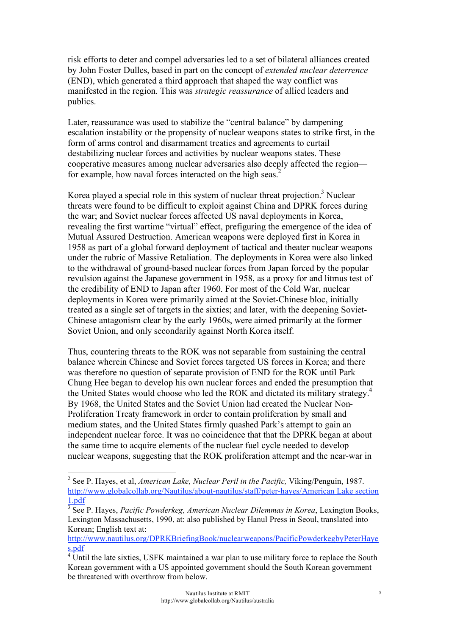risk efforts to deter and compel adversaries led to a set of bilateral alliances created by John Foster Dulles, based in part on the concept of *extended nuclear deterrence* (END), which generated a third approach that shaped the way conflict was manifested in the region. This was *strategic reassurance* of allied leaders and publics.

Later, reassurance was used to stabilize the "central balance" by dampening escalation instability or the propensity of nuclear weapons states to strike first, in the form of arms control and disarmament treaties and agreements to curtail destabilizing nuclear forces and activities by nuclear weapons states. These cooperative measures among nuclear adversaries also deeply affected the region for example, how naval forces interacted on the high seas.<sup>2</sup>

Korea played a special role in this system of nuclear threat projection.<sup>3</sup> Nuclear threats were found to be difficult to exploit against China and DPRK forces during the war; and Soviet nuclear forces affected US naval deployments in Korea, revealing the first wartime "virtual" effect, prefiguring the emergence of the idea of Mutual Assured Destruction. American weapons were deployed first in Korea in 1958 as part of a global forward deployment of tactical and theater nuclear weapons under the rubric of Massive Retaliation. The deployments in Korea were also linked to the withdrawal of ground-based nuclear forces from Japan forced by the popular revulsion against the Japanese government in 1958, as a proxy for and litmus test of the credibility of END to Japan after 1960. For most of the Cold War, nuclear deployments in Korea were primarily aimed at the Soviet-Chinese bloc, initially treated as a single set of targets in the sixties; and later, with the deepening Soviet-Chinese antagonism clear by the early 1960s, were aimed primarily at the former Soviet Union, and only secondarily against North Korea itself.

Thus, countering threats to the ROK was not separable from sustaining the central balance wherein Chinese and Soviet forces targeted US forces in Korea; and there was therefore no question of separate provision of END for the ROK until Park Chung Hee began to develop his own nuclear forces and ended the presumption that the United States would choose who led the ROK and dictated its military strategy.4 By 1968, the United States and the Soviet Union had created the Nuclear Non-Proliferation Treaty framework in order to contain proliferation by small and medium states, and the United States firmly quashed Park's attempt to gain an independent nuclear force. It was no coincidence that that the DPRK began at about the same time to acquire elements of the nuclear fuel cycle needed to develop nuclear weapons, suggesting that the ROK proliferation attempt and the near-war in

 $\frac{1}{2}$  See P. Hayes, et al, *American Lake, Nuclear Peril in the Pacific,* Viking/Penguin, 1987. http://www.globalcollab.org/Nautilus/about-nautilus/staff/peter-hayes/American Lake section 1.pdf

<sup>3</sup> See P. Hayes, *Pacific Powderkeg, American Nuclear Dilemmas in Korea*, Lexington Books, Lexington Massachusetts, 1990, at: also published by Hanul Press in Seoul, translated into Korean; English text at:

http://www.nautilus.org/DPRKBriefingBook/nuclearweapons/PacificPowderkegbyPeterHaye s.pdf 4 Until the late sixties, USFK maintained a war plan to use military force to replace the South

Korean government with a US appointed government should the South Korean government be threatened with overthrow from below.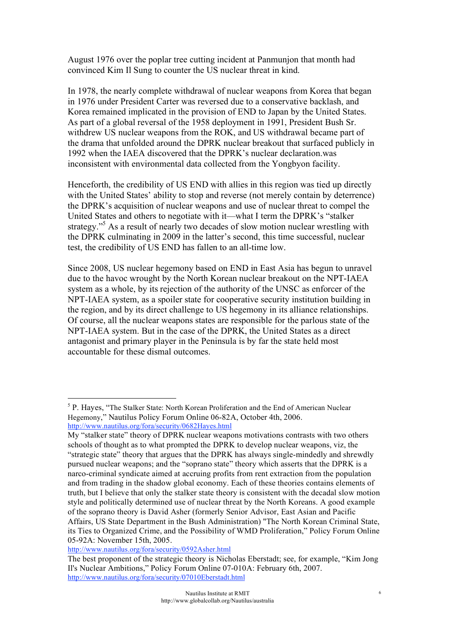August 1976 over the poplar tree cutting incident at Panmunjon that month had convinced Kim Il Sung to counter the US nuclear threat in kind.

In 1978, the nearly complete withdrawal of nuclear weapons from Korea that began in 1976 under President Carter was reversed due to a conservative backlash, and Korea remained implicated in the provision of END to Japan by the United States. As part of a global reversal of the 1958 deployment in 1991, President Bush Sr. withdrew US nuclear weapons from the ROK, and US withdrawal became part of the drama that unfolded around the DPRK nuclear breakout that surfaced publicly in 1992 when the IAEA discovered that the DPRK's nuclear declaration.was inconsistent with environmental data collected from the Yongbyon facility.

Henceforth, the credibility of US END with allies in this region was tied up directly with the United States' ability to stop and reverse (not merely contain by deterrence) the DPRK's acquisition of nuclear weapons and use of nuclear threat to compel the United States and others to negotiate with it—what I term the DPRK's "stalker" strategy."<sup>5</sup> As a result of nearly two decades of slow motion nuclear wrestling with the DPRK culminating in 2009 in the latter's second, this time successful, nuclear test, the credibility of US END has fallen to an all-time low.

Since 2008, US nuclear hegemony based on END in East Asia has begun to unravel due to the havoc wrought by the North Korean nuclear breakout on the NPT-IAEA system as a whole, by its rejection of the authority of the UNSC as enforcer of the NPT-IAEA system, as a spoiler state for cooperative security institution building in the region, and by its direct challenge to US hegemony in its alliance relationships. Of course, all the nuclear weapons states are responsible for the parlous state of the NPT-IAEA system. But in the case of the DPRK, the United States as a direct antagonist and primary player in the Peninsula is by far the state held most accountable for these dismal outcomes.

 $\frac{1}{5}$ <sup>5</sup> P. Hayes, "The Stalker State: North Korean Proliferation and the End of American Nuclear Hegemony," Nautilus Policy Forum Online 06-82A, October 4th, 2006. http://www.nautilus.org/fora/security/0682Hayes.html

My "stalker state" theory of DPRK nuclear weapons motivations contrasts with two others schools of thought as to what prompted the DPRK to develop nuclear weapons, viz, the "strategic state" theory that argues that the DPRK has always single-mindedly and shrewdly pursued nuclear weapons; and the "soprano state" theory which asserts that the DPRK is a narco-criminal syndicate aimed at accruing profits from rent extraction from the population and from trading in the shadow global economy. Each of these theories contains elements of truth, but I believe that only the stalker state theory is consistent with the decadal slow motion style and politically determined use of nuclear threat by the North Koreans. A good example of the soprano theory is David Asher (formerly Senior Advisor, East Asian and Pacific Affairs, US State Department in the Bush Administration) "The North Korean Criminal State, its Ties to Organized Crime, and the Possibility of WMD Proliferation," Policy Forum Online 05-92A: November 15th, 2005.

http://www.nautilus.org/fora/security/0592Asher.html

The best proponent of the strategic theory is Nicholas Eberstadt; see, for example, "Kim Jong Il's Nuclear Ambitions," Policy Forum Online 07-010A: February 6th, 2007. http://www.nautilus.org/fora/security/07010Eberstadt.html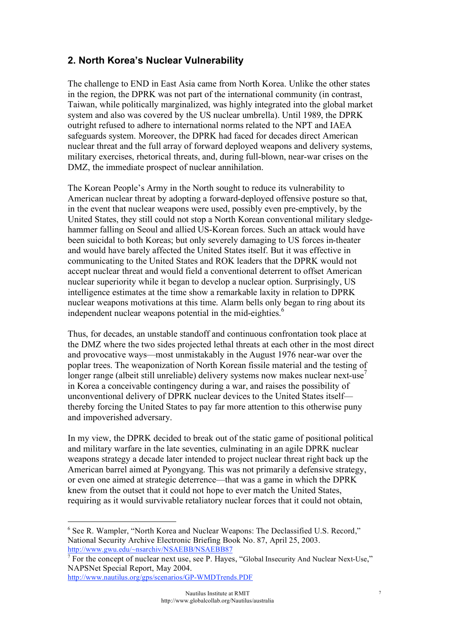# **2. North Korea's Nuclear Vulnerability**

The challenge to END in East Asia came from North Korea. Unlike the other states in the region, the DPRK was not part of the international community (in contrast, Taiwan, while politically marginalized, was highly integrated into the global market system and also was covered by the US nuclear umbrella). Until 1989, the DPRK outright refused to adhere to international norms related to the NPT and IAEA safeguards system. Moreover, the DPRK had faced for decades direct American nuclear threat and the full array of forward deployed weapons and delivery systems, military exercises, rhetorical threats, and, during full-blown, near-war crises on the DMZ, the immediate prospect of nuclear annihilation.

The Korean People's Army in the North sought to reduce its vulnerability to American nuclear threat by adopting a forward-deployed offensive posture so that, in the event that nuclear weapons were used, possibly even pre-emptively, by the United States, they still could not stop a North Korean conventional military sledgehammer falling on Seoul and allied US-Korean forces. Such an attack would have been suicidal to both Koreas; but only severely damaging to US forces in-theater and would have barely affected the United States itself. But it was effective in communicating to the United States and ROK leaders that the DPRK would not accept nuclear threat and would field a conventional deterrent to offset American nuclear superiority while it began to develop a nuclear option. Surprisingly, US intelligence estimates at the time show a remarkable laxity in relation to DPRK nuclear weapons motivations at this time. Alarm bells only began to ring about its independent nuclear weapons potential in the mid-eighties.<sup>6</sup>

Thus, for decades, an unstable standoff and continuous confrontation took place at the DMZ where the two sides projected lethal threats at each other in the most direct and provocative ways—most unmistakably in the August 1976 near-war over the poplar trees. The weaponization of North Korean fissile material and the testing of longer range (albeit still unreliable) delivery systems now makes nuclear next-use<sup>7</sup> in Korea a conceivable contingency during a war, and raises the possibility of unconventional delivery of DPRK nuclear devices to the United States itself thereby forcing the United States to pay far more attention to this otherwise puny and impoverished adversary.

In my view, the DPRK decided to break out of the static game of positional political and military warfare in the late seventies, culminating in an agile DPRK nuclear weapons strategy a decade later intended to project nuclear threat right back up the American barrel aimed at Pyongyang. This was not primarily a defensive strategy, or even one aimed at strategic deterrence—that was a game in which the DPRK knew from the outset that it could not hope to ever match the United States, requiring as it would survivable retaliatory nuclear forces that it could not obtain,

 $\frac{1}{6}$ <sup>6</sup> See R. Wampler, "North Korea and Nuclear Weapons: The Declassified U.S. Record," National Security Archive Electronic Briefing Book No. 87, April 25, 2003. http://www.gwu.edu/~nsarchiv/NSAEBB/NSAEBB87

<sup>&</sup>lt;sup>7</sup> For the concept of nuclear next use, see P. Hayes, "Global Insecurity And Nuclear Next-Use," NAPSNet Special Report, May 2004.

http://www.nautilus.org/gps/scenarios/GP-WMDTrends.PDF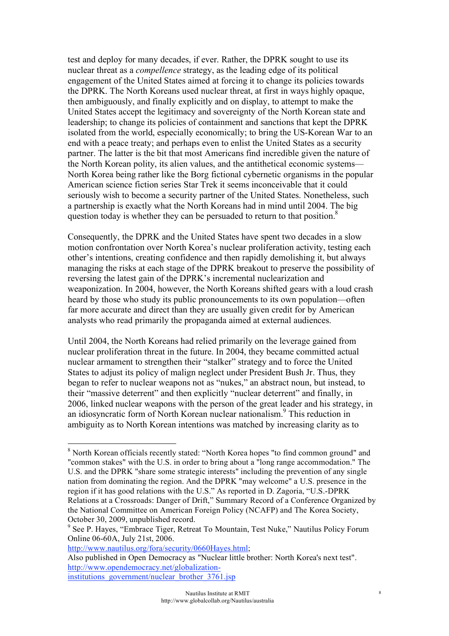test and deploy for many decades, if ever. Rather, the DPRK sought to use its nuclear threat as a *compellence* strategy, as the leading edge of its political engagement of the United States aimed at forcing it to change its policies towards the DPRK. The North Koreans used nuclear threat, at first in ways highly opaque, then ambiguously, and finally explicitly and on display, to attempt to make the United States accept the legitimacy and sovereignty of the North Korean state and leadership; to change its policies of containment and sanctions that kept the DPRK isolated from the world, especially economically; to bring the US-Korean War to an end with a peace treaty; and perhaps even to enlist the United States as a security partner. The latter is the bit that most Americans find incredible given the nature of the North Korean polity, its alien values, and the antithetical economic systems— North Korea being rather like the Borg fictional cybernetic organisms in the popular American science fiction series Star Trek it seems inconceivable that it could seriously wish to become a security partner of the United States. Nonetheless, such a partnership is exactly what the North Koreans had in mind until 2004. The big question today is whether they can be persuaded to return to that position.<sup>8</sup>

Consequently, the DPRK and the United States have spent two decades in a slow motion confrontation over North Korea's nuclear proliferation activity, testing each other's intentions, creating confidence and then rapidly demolishing it, but always managing the risks at each stage of the DPRK breakout to preserve the possibility of reversing the latest gain of the DPRK's incremental nuclearization and weaponization. In 2004, however, the North Koreans shifted gears with a loud crash heard by those who study its public pronouncements to its own population—often far more accurate and direct than they are usually given credit for by American analysts who read primarily the propaganda aimed at external audiences.

Until 2004, the North Koreans had relied primarily on the leverage gained from nuclear proliferation threat in the future. In 2004, they became committed actual nuclear armament to strengthen their "stalker" strategy and to force the United States to adjust its policy of malign neglect under President Bush Jr. Thus, they began to refer to nuclear weapons not as "nukes," an abstract noun, but instead, to their "massive deterrent" and then explicitly "nuclear deterrent" and finally, in 2006, linked nuclear weapons with the person of the great leader and his strategy, in an idiosyncratic form of North Korean nuclear nationalism.<sup>9</sup> This reduction in ambiguity as to North Korean intentions was matched by increasing clarity as to

 <sup>8</sup> <sup>8</sup> North Korean officials recently stated: "North Korea hopes "to find common ground" and "common stakes" with the U.S. in order to bring about a "long range accommodation." The U.S. and the DPRK "share some strategic interests" including the prevention of any single nation from dominating the region. And the DPRK "may welcome" a U.S. presence in the region if it has good relations with the U.S." As reported in D. Zagoria, "U.S.-DPRK Relations at a Crossroads: Danger of Drift," Summary Record of a Conference Organized by the National Committee on American Foreign Policy (NCAFP) and The Korea Society, October 30, 2009, unpublished record.

<sup>&</sup>lt;sup>9</sup> See P. Hayes, "Embrace Tiger, Retreat To Mountain, Test Nuke," Nautilus Policy Forum Online 06-60A, July 21st, 2006.

http://www.nautilus.org/fora/security/0660Hayes.html;

Also published in Open Democracy as "Nuclear little brother: North Korea's next test". http://www.opendemocracy.net/globalizationinstitutions\_government/nuclear\_brother\_3761.jsp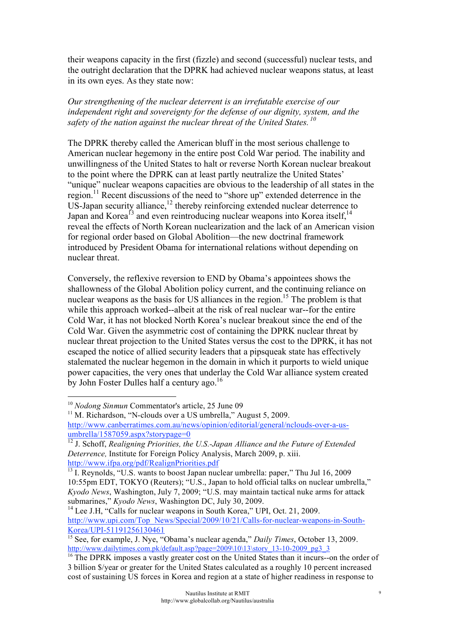their weapons capacity in the first (fizzle) and second (successful) nuclear tests, and the outright declaration that the DPRK had achieved nuclear weapons status, at least in its own eyes. As they state now:

*Our strengthening of the nuclear deterrent is an irrefutable exercise of our independent right and sovereignty for the defense of our dignity, system, and the safety of the nation against the nuclear threat of the United States. <sup>10</sup>*

The DPRK thereby called the American bluff in the most serious challenge to American nuclear hegemony in the entire post Cold War period. The inability and unwillingness of the United States to halt or reverse North Korean nuclear breakout to the point where the DPRK can at least partly neutralize the United States' "unique" nuclear weapons capacities are obvious to the leadership of all states in the region.11 Recent discussions of the need to "shore up" extended deterrence in the  $US$ -Japan security alliance,<sup>12</sup> thereby reinforcing extended nuclear deterrence to Japan and Korea<sup> $13$ </sup> and even reintroducing nuclear weapons into Korea itself,<sup>14</sup> reveal the effects of North Korean nuclearization and the lack of an American vision for regional order based on Global Abolition—the new doctrinal framework introduced by President Obama for international relations without depending on nuclear threat.

Conversely, the reflexive reversion to END by Obama's appointees shows the shallowness of the Global Abolition policy current, and the continuing reliance on nuclear weapons as the basis for US alliances in the region.<sup>15</sup> The problem is that while this approach worked--albeit at the risk of real nuclear war--for the entire Cold War, it has not blocked North Korea's nuclear breakout since the end of the Cold War. Given the asymmetric cost of containing the DPRK nuclear threat by nuclear threat projection to the United States versus the cost to the DPRK, it has not escaped the notice of allied security leaders that a pipsqueak state has effectively stalemated the nuclear hegemon in the domain in which it purports to wield unique power capacities, the very ones that underlay the Cold War alliance system created by John Foster Dulles half a century ago.<sup>16</sup>

 <sup>10</sup> *Nodong Sinmun* Commentator's article, 25 June 09

<sup>&</sup>lt;sup>11</sup> M. Richardson, "N-clouds over a US umbrella," August 5, 2009. http://www.canberratimes.com.au/news/opinion/editorial/general/nclouds-over-a-usumbrella/1587059.aspx?storypage=0

<sup>&</sup>lt;sup>12</sup> J. Schoff, *Realigning Priorities, the U.S.-Japan Alliance and the Future of Extended Deterrence,* Institute for Foreign Policy Analysis, March 2009, p. xiii. http://www.ifpa.org/pdf/RealignPriorities.pdf

 $\overline{^{13}}$  I. Reynolds, "U.S. wants to boost Japan nuclear umbrella: paper," Thu Jul 16, 2009 10:55pm EDT, TOKYO (Reuters); "U.S., Japan to hold official talks on nuclear umbrella," *Kyodo News*, Washington, July 7, 2009; "U.S. may maintain tactical nuke arms for attack submarines," *Kyodo News*, Washington DC, July 30, 2009.

<sup>&</sup>lt;sup>14</sup> Lee J.H. "Calls for nuclear weapons in South Korea," UPI, Oct. 21, 2009. http://www.upi.com/Top\_News/Special/2009/10/21/Calls-for-nuclear-weapons-in-South-Korea/UPI-51191256130461

<sup>&</sup>lt;sup>15</sup> See, for example, J. Nye, "Obama's nuclear agenda," *Daily Times*, October 13, 2009. http://www.dailytimes.com.pk/default.asp?page=2009\10\13\story\_13-10-2009\_pg3\_3\_

<sup>&</sup>lt;sup>16</sup> The DPRK imposes a vastly greater cost on the United States than it incurs--on the order of 3 billion \$/year or greater for the United States calculated as a roughly 10 percent increased cost of sustaining US forces in Korea and region at a state of higher readiness in response to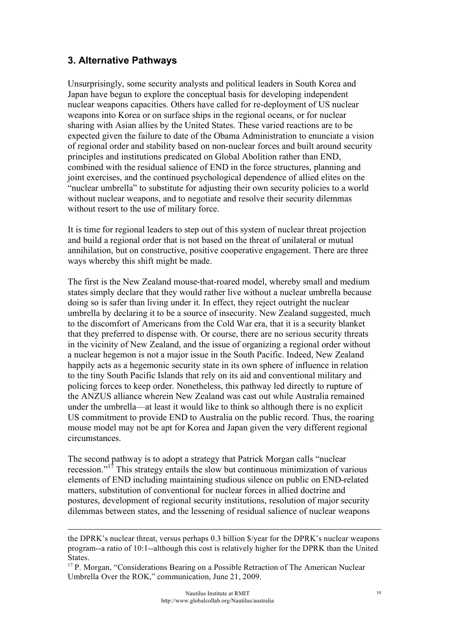### **3. Alternative Pathways**

 $\overline{a}$ 

Unsurprisingly, some security analysts and political leaders in South Korea and Japan have begun to explore the conceptual basis for developing independent nuclear weapons capacities. Others have called for re-deployment of US nuclear weapons into Korea or on surface ships in the regional oceans, or for nuclear sharing with Asian allies by the United States. These varied reactions are to be expected given the failure to date of the Obama Administration to enunciate a vision of regional order and stability based on non-nuclear forces and built around security principles and institutions predicated on Global Abolition rather than END, combined with the residual salience of END in the force structures, planning and joint exercises, and the continued psychological dependence of allied elites on the "nuclear umbrella" to substitute for adjusting their own security policies to a world without nuclear weapons, and to negotiate and resolve their security dilemmas without resort to the use of military force.

It is time for regional leaders to step out of this system of nuclear threat projection and build a regional order that is not based on the threat of unilateral or mutual annihilation, but on constructive, positive cooperative engagement. There are three ways whereby this shift might be made.

The first is the New Zealand mouse-that-roared model, whereby small and medium states simply declare that they would rather live without a nuclear umbrella because doing so is safer than living under it. In effect, they reject outright the nuclear umbrella by declaring it to be a source of insecurity. New Zealand suggested, much to the discomfort of Americans from the Cold War era, that it is a security blanket that they preferred to dispense with. Or course, there are no serious security threats in the vicinity of New Zealand, and the issue of organizing a regional order without a nuclear hegemon is not a major issue in the South Pacific. Indeed, New Zealand happily acts as a hegemonic security state in its own sphere of influence in relation to the tiny South Pacific Islands that rely on its aid and conventional military and policing forces to keep order. Nonetheless, this pathway led directly to rupture of the ANZUS alliance wherein New Zealand was cast out while Australia remained under the umbrella—at least it would like to think so although there is no explicit US commitment to provide END to Australia on the public record. Thus, the roaring mouse model may not be apt for Korea and Japan given the very different regional circumstances.

The second pathway is to adopt a strategy that Patrick Morgan calls "nuclear recession."17 This strategy entails the slow but continuous minimization of various elements of END including maintaining studious silence on public on END-related matters, substitution of conventional for nuclear forces in allied doctrine and postures, development of regional security institutions, resolution of major security dilemmas between states, and the lessening of residual salience of nuclear weapons

the DPRK's nuclear threat, versus perhaps 0.3 billion \$/year for the DPRK's nuclear weapons program--a ratio of 10:1--although this cost is relatively higher for the DPRK than the United States.

<sup>&</sup>lt;sup>17</sup> P. Morgan, "Considerations Bearing on a Possible Retraction of The American Nuclear Umbrella Over the ROK," communication, June 21, 2009.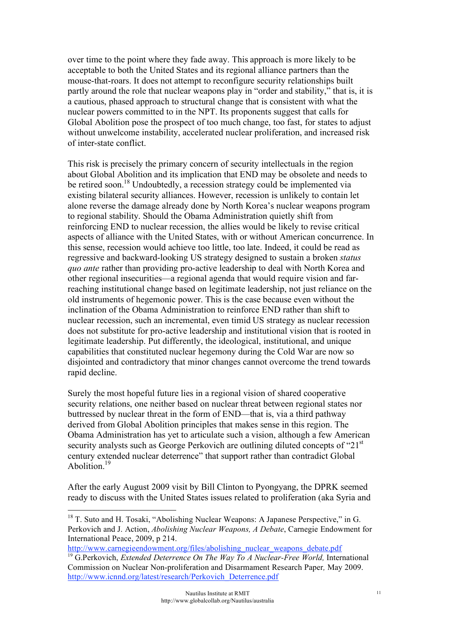over time to the point where they fade away. This approach is more likely to be acceptable to both the United States and its regional alliance partners than the mouse-that-roars. It does not attempt to reconfigure security relationships built partly around the role that nuclear weapons play in "order and stability," that is, it is a cautious, phased approach to structural change that is consistent with what the nuclear powers committed to in the NPT. Its proponents suggest that calls for Global Abolition pose the prospect of too much change, too fast, for states to adjust without unwelcome instability, accelerated nuclear proliferation, and increased risk of inter-state conflict.

This risk is precisely the primary concern of security intellectuals in the region about Global Abolition and its implication that END may be obsolete and needs to be retired soon.<sup>18</sup> Undoubtedly, a recession strategy could be implemented via existing bilateral security alliances. However, recession is unlikely to contain let alone reverse the damage already done by North Korea's nuclear weapons program to regional stability. Should the Obama Administration quietly shift from reinforcing END to nuclear recession, the allies would be likely to revise critical aspects of alliance with the United States, with or without American concurrence. In this sense, recession would achieve too little, too late. Indeed, it could be read as regressive and backward-looking US strategy designed to sustain a broken *status quo ante* rather than providing pro-active leadership to deal with North Korea and other regional insecurities—a regional agenda that would require vision and farreaching institutional change based on legitimate leadership, not just reliance on the old instruments of hegemonic power. This is the case because even without the inclination of the Obama Administration to reinforce END rather than shift to nuclear recession, such an incremental, even timid US strategy as nuclear recession does not substitute for pro-active leadership and institutional vision that is rooted in legitimate leadership. Put differently, the ideological, institutional, and unique capabilities that constituted nuclear hegemony during the Cold War are now so disjointed and contradictory that minor changes cannot overcome the trend towards rapid decline.

Surely the most hopeful future lies in a regional vision of shared cooperative security relations, one neither based on nuclear threat between regional states nor buttressed by nuclear threat in the form of END—that is, via a third pathway derived from Global Abolition principles that makes sense in this region. The Obama Administration has yet to articulate such a vision, although a few American security analysts such as George Perkovich are outlining diluted concepts of "21<sup>st</sup> century extended nuclear deterrence" that support rather than contradict Global Abolition<sup>19</sup>

After the early August 2009 visit by Bill Clinton to Pyongyang, the DPRK seemed ready to discuss with the United States issues related to proliferation (aka Syria and

<sup>&</sup>lt;sup>18</sup> T. Suto and H. Tosaki, "Abolishing Nuclear Weapons: A Japanese Perspective," in G. Perkovich and J. Action, *Abolishing Nuclear Weapons, A Debate*, Carnegie Endowment for International Peace, 2009, p 214.

http://www.carnegieendowment.org/files/abolishing\_nuclear\_weapons\_debate.pdf

<sup>19</sup> G.Perkovich, *Extended Deterrence On The Way To A Nuclear-Free World,* International Commission on Nuclear Non-proliferation and Disarmament Research Paper*,* May 2009. http://www.icnnd.org/latest/research/Perkovich\_Deterrence.pdf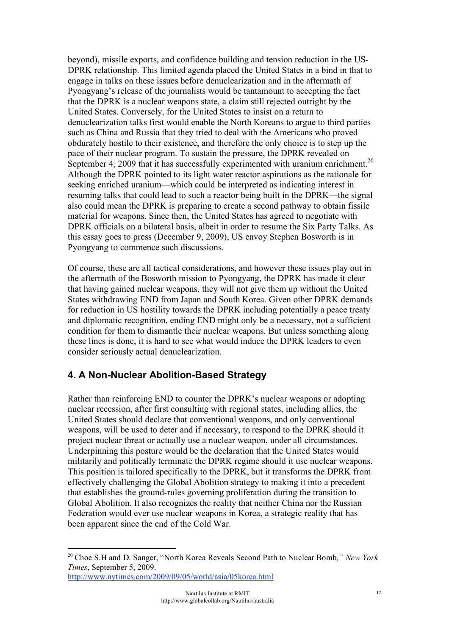beyond), missile exports, and confidence building and tension reduction in the US-DPRK relationship. This limited agenda placed the United States in a bind in that to engage in talks on these issues before denuclearization and in the aftermath of Pyongyang's release of the journalists would be tantamount to accepting the fact that the DPRK is a nuclear weapons state, a claim still rejected outright by the United States. Conversely, for the United States to insist on a return to denuclearization talks first would enable the North Koreans to argue to third parties such as China and Russia that they tried to deal with the Americans who proved obdurately hostile to their existence, and therefore the only choice is to step up the pace of their nuclear program. To sustain the pressure, the DPRK revealed on September 4, 2009 that it has successfully experimented with uranium enrichment.<sup>20</sup> Although the DPRK pointed to its light water reactor aspirations as the rationale for seeking enriched uranium—which could be interpreted as indicating interest in resuming talks that could lead to such a reactor being built in the DPRK—the signal also could mean the DPRK is preparing to create a second pathway to obtain fissile material for weapons. Since then, the United States has agreed to negotiate with DPRK officials on a bilateral basis, albeit in order to resume the Six Party Talks. As this essay goes to press (December 9, 2009), US envoy Stephen Bosworth is in Pyongyang to commence such discussions.

Of course, these are all tactical considerations, and however these issues play out in the aftermath of the Bosworth mission to Pyongyang, the DPRK has made it clear that having gained nuclear weapons, they will not give them up without the United States withdrawing END from Japan and South Korea. Given other DPRK demands for reduction in US hostility towards the DPRK including potentially a peace treaty and diplomatic recognition, ending END might only be a necessary, not a sufficient condition for them to dismantle their nuclear weapons. But unless something along these lines is done, it is hard to see what would induce the DPRK leaders to even consider seriously actual denuclearization.

# **4. A Non-Nuclear Abolition-Based Strategy**

Rather than reinforcing END to counter the DPRK's nuclear weapons or adopting nuclear recession, after first consulting with regional states, including allies, the United States should declare that conventional weapons, and only conventional weapons, will be used to deter and if necessary, to respond to the DPRK should it project nuclear threat or actually use a nuclear weapon, under all circumstances. Underpinning this posture would be the declaration that the United States would militarily and politically terminate the DPRK regime should it use nuclear weapons. This position is tailored specifically to the DPRK, but it transforms the DPRK from effectively challenging the Global Abolition strategy to making it into a precedent that establishes the ground-rules governing proliferation during the transition to Global Abolition. It also recognizes the reality that neither China nor the Russian Federation would ever use nuclear weapons in Korea, a strategic reality that has been apparent since the end of the Cold War.

 <sup>20</sup> Choe S.H and D. Sanger, "North Korea Reveals Second Path to Nuclear Bomb*," New York Times*, September 5, 2009. http://www.nytimes.com/2009/09/05/world/asia/05korea.html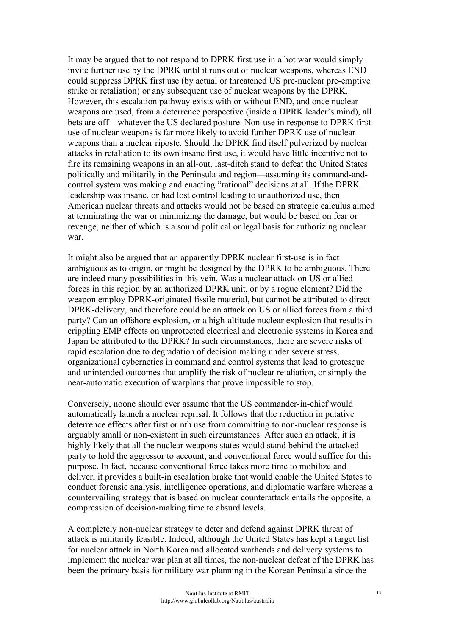It may be argued that to not respond to DPRK first use in a hot war would simply invite further use by the DPRK until it runs out of nuclear weapons, whereas END could suppress DPRK first use (by actual or threatened US pre-nuclear pre-emptive strike or retaliation) or any subsequent use of nuclear weapons by the DPRK. However, this escalation pathway exists with or without END, and once nuclear weapons are used, from a deterrence perspective (inside a DPRK leader's mind), all bets are off—whatever the US declared posture. Non-use in response to DPRK first use of nuclear weapons is far more likely to avoid further DPRK use of nuclear weapons than a nuclear riposte. Should the DPRK find itself pulverized by nuclear attacks in retaliation to its own insane first use, it would have little incentive not to fire its remaining weapons in an all-out, last-ditch stand to defeat the United States politically and militarily in the Peninsula and region—assuming its command-andcontrol system was making and enacting "rational" decisions at all. If the DPRK leadership was insane, or had lost control leading to unauthorized use, then American nuclear threats and attacks would not be based on strategic calculus aimed at terminating the war or minimizing the damage, but would be based on fear or revenge, neither of which is a sound political or legal basis for authorizing nuclear war.

It might also be argued that an apparently DPRK nuclear first-use is in fact ambiguous as to origin, or might be designed by the DPRK to be ambiguous. There are indeed many possibilities in this vein. Was a nuclear attack on US or allied forces in this region by an authorized DPRK unit, or by a rogue element? Did the weapon employ DPRK-originated fissile material, but cannot be attributed to direct DPRK-delivery, and therefore could be an attack on US or allied forces from a third party? Can an offshore explosion, or a high-altitude nuclear explosion that results in crippling EMP effects on unprotected electrical and electronic systems in Korea and Japan be attributed to the DPRK? In such circumstances, there are severe risks of rapid escalation due to degradation of decision making under severe stress, organizational cybernetics in command and control systems that lead to grotesque and unintended outcomes that amplify the risk of nuclear retaliation, or simply the near-automatic execution of warplans that prove impossible to stop.

Conversely, noone should ever assume that the US commander-in-chief would automatically launch a nuclear reprisal. It follows that the reduction in putative deterrence effects after first or nth use from committing to non-nuclear response is arguably small or non-existent in such circumstances. After such an attack, it is highly likely that all the nuclear weapons states would stand behind the attacked party to hold the aggressor to account, and conventional force would suffice for this purpose. In fact, because conventional force takes more time to mobilize and deliver, it provides a built-in escalation brake that would enable the United States to conduct forensic analysis, intelligence operations, and diplomatic warfare whereas a countervailing strategy that is based on nuclear counterattack entails the opposite, a compression of decision-making time to absurd levels.

A completely non-nuclear strategy to deter and defend against DPRK threat of attack is militarily feasible. Indeed, although the United States has kept a target list for nuclear attack in North Korea and allocated warheads and delivery systems to implement the nuclear war plan at all times, the non-nuclear defeat of the DPRK has been the primary basis for military war planning in the Korean Peninsula since the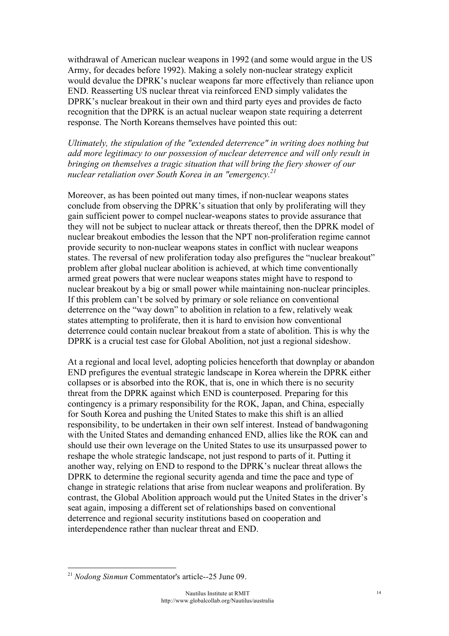withdrawal of American nuclear weapons in 1992 (and some would argue in the US Army, for decades before 1992). Making a solely non-nuclear strategy explicit would devalue the DPRK's nuclear weapons far more effectively than reliance upon END. Reasserting US nuclear threat via reinforced END simply validates the DPRK's nuclear breakout in their own and third party eyes and provides de facto recognition that the DPRK is an actual nuclear weapon state requiring a deterrent response. The North Koreans themselves have pointed this out:

*Ultimately, the stipulation of the "extended deterrence" in writing does nothing but add more legitimacy to our possession of nuclear deterrence and will only result in bringing on themselves a tragic situation that will bring the fiery shower of our nuclear retaliation over South Korea in an "emergency.21*

Moreover, as has been pointed out many times, if non-nuclear weapons states conclude from observing the DPRK's situation that only by proliferating will they gain sufficient power to compel nuclear-weapons states to provide assurance that they will not be subject to nuclear attack or threats thereof, then the DPRK model of nuclear breakout embodies the lesson that the NPT non-proliferation regime cannot provide security to non-nuclear weapons states in conflict with nuclear weapons states. The reversal of new proliferation today also prefigures the "nuclear breakout" problem after global nuclear abolition is achieved, at which time conventionally armed great powers that were nuclear weapons states might have to respond to nuclear breakout by a big or small power while maintaining non-nuclear principles. If this problem can't be solved by primary or sole reliance on conventional deterrence on the "way down" to abolition in relation to a few, relatively weak states attempting to proliferate, then it is hard to envision how conventional deterrence could contain nuclear breakout from a state of abolition. This is why the DPRK is a crucial test case for Global Abolition, not just a regional sideshow.

At a regional and local level, adopting policies henceforth that downplay or abandon END prefigures the eventual strategic landscape in Korea wherein the DPRK either collapses or is absorbed into the ROK, that is, one in which there is no security threat from the DPRK against which END is counterposed. Preparing for this contingency is a primary responsibility for the ROK, Japan, and China, especially for South Korea and pushing the United States to make this shift is an allied responsibility, to be undertaken in their own self interest. Instead of bandwagoning with the United States and demanding enhanced END, allies like the ROK can and should use their own leverage on the United States to use its unsurpassed power to reshape the whole strategic landscape, not just respond to parts of it. Putting it another way, relying on END to respond to the DPRK's nuclear threat allows the DPRK to determine the regional security agenda and time the pace and type of change in strategic relations that arise from nuclear weapons and proliferation. By contrast, the Global Abolition approach would put the United States in the driver's seat again, imposing a different set of relationships based on conventional deterrence and regional security institutions based on cooperation and interdependence rather than nuclear threat and END.

 <sup>21</sup> *Nodong Sinmun* Commentator's article--25 June 09.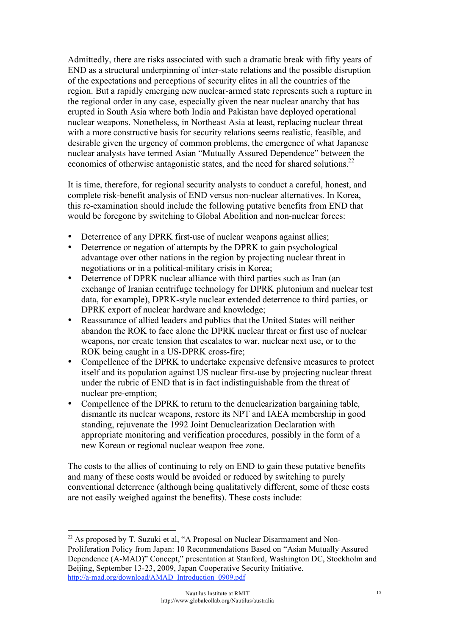Admittedly, there are risks associated with such a dramatic break with fifty years of END as a structural underpinning of inter-state relations and the possible disruption of the expectations and perceptions of security elites in all the countries of the region. But a rapidly emerging new nuclear-armed state represents such a rupture in the regional order in any case, especially given the near nuclear anarchy that has erupted in South Asia where both India and Pakistan have deployed operational nuclear weapons. Nonetheless, in Northeast Asia at least, replacing nuclear threat with a more constructive basis for security relations seems realistic, feasible, and desirable given the urgency of common problems, the emergence of what Japanese nuclear analysts have termed Asian "Mutually Assured Dependence" between the economies of otherwise antagonistic states, and the need for shared solutions.<sup>22</sup>

It is time, therefore, for regional security analysts to conduct a careful, honest, and complete risk-benefit analysis of END versus non-nuclear alternatives. In Korea, this re-examination should include the following putative benefits from END that would be foregone by switching to Global Abolition and non-nuclear forces:

- Deterrence of any DPRK first-use of nuclear weapons against allies:
- Deterrence or negation of attempts by the DPRK to gain psychological advantage over other nations in the region by projecting nuclear threat in negotiations or in a political-military crisis in Korea;
- Deterrence of DPRK nuclear alliance with third parties such as Iran (an exchange of Iranian centrifuge technology for DPRK plutonium and nuclear test data, for example), DPRK-style nuclear extended deterrence to third parties, or DPRK export of nuclear hardware and knowledge;
- Reassurance of allied leaders and publics that the United States will neither abandon the ROK to face alone the DPRK nuclear threat or first use of nuclear weapons, nor create tension that escalates to war, nuclear next use, or to the ROK being caught in a US-DPRK cross-fire;
- Compellence of the DPRK to undertake expensive defensive measures to protect itself and its population against US nuclear first-use by projecting nuclear threat under the rubric of END that is in fact indistinguishable from the threat of nuclear pre-emption;
- Compellence of the DPRK to return to the denuclearization bargaining table, dismantle its nuclear weapons, restore its NPT and IAEA membership in good standing, rejuvenate the 1992 Joint Denuclearization Declaration with appropriate monitoring and verification procedures, possibly in the form of a new Korean or regional nuclear weapon free zone.

The costs to the allies of continuing to rely on END to gain these putative benefits and many of these costs would be avoided or reduced by switching to purely conventional deterrence (although being qualitatively different, some of these costs are not easily weighed against the benefits). These costs include:

<sup>&</sup>lt;sup>22</sup> As proposed by T. Suzuki et al, "A Proposal on Nuclear Disarmament and Non-Proliferation Policy from Japan: 10 Recommendations Based on "Asian Mutually Assured Dependence (A-MAD)" Concept," presentation at Stanford, Washington DC, Stockholm and Beijing, September 13-23, 2009, Japan Cooperative Security Initiative. http://a-mad.org/download/AMAD\_Introduction\_0909.pdf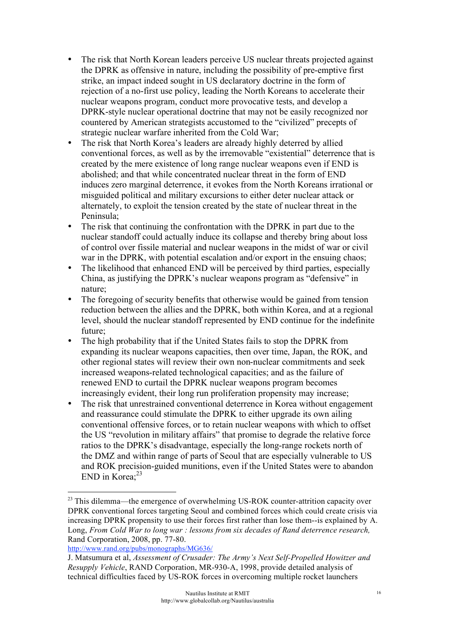- The risk that North Korean leaders perceive US nuclear threats projected against the DPRK as offensive in nature, including the possibility of pre-emptive first strike, an impact indeed sought in US declaratory doctrine in the form of rejection of a no-first use policy, leading the North Koreans to accelerate their nuclear weapons program, conduct more provocative tests, and develop a DPRK-style nuclear operational doctrine that may not be easily recognized nor countered by American strategists accustomed to the "civilized" precepts of strategic nuclear warfare inherited from the Cold War;
- The risk that North Korea's leaders are already highly deterred by allied conventional forces, as well as by the irremovable "existential" deterrence that is created by the mere existence of long range nuclear weapons even if END is abolished; and that while concentrated nuclear threat in the form of END induces zero marginal deterrence, it evokes from the North Koreans irrational or misguided political and military excursions to either deter nuclear attack or alternately, to exploit the tension created by the state of nuclear threat in the Peninsula;
- The risk that continuing the confrontation with the DPRK in part due to the nuclear standoff could actually induce its collapse and thereby bring about loss of control over fissile material and nuclear weapons in the midst of war or civil war in the DPRK, with potential escalation and/or export in the ensuing chaos;
- The likelihood that enhanced END will be perceived by third parties, especially China, as justifying the DPRK's nuclear weapons program as "defensive" in nature;
- The foregoing of security benefits that otherwise would be gained from tension reduction between the allies and the DPRK, both within Korea, and at a regional level, should the nuclear standoff represented by END continue for the indefinite future;
- The high probability that if the United States fails to stop the DPRK from expanding its nuclear weapons capacities, then over time, Japan, the ROK, and other regional states will review their own non-nuclear commitments and seek increased weapons-related technological capacities; and as the failure of renewed END to curtail the DPRK nuclear weapons program becomes increasingly evident, their long run proliferation propensity may increase;
- The risk that unrestrained conventional deterrence in Korea without engagement and reassurance could stimulate the DPRK to either upgrade its own ailing conventional offensive forces, or to retain nuclear weapons with which to offset the US "revolution in military affairs" that promise to degrade the relative force ratios to the DPRK's disadvantage, especially the long-range rockets north of the DMZ and within range of parts of Seoul that are especially vulnerable to US and ROK precision-guided munitions, even if the United States were to abandon END in Korea; $23$

http://www.rand.org/pubs/monographs/MG636/

<sup>&</sup>lt;sup>23</sup> This dilemma—the emergence of overwhelming US-ROK counter-attrition capacity over DPRK conventional forces targeting Seoul and combined forces which could create crisis via increasing DPRK propensity to use their forces first rather than lose them--is explained by A. Long, *From Cold War to long war : lessons from six decades of Rand deterrence research,* Rand Corporation, 2008, pp. 77-80.

J. Matsumura et al, *Assessment of Crusader: The Army's Next Self-Propelled Howitzer and Resupply Vehicle*, RAND Corporation, MR-930-A, 1998, provide detailed analysis of technical difficulties faced by US-ROK forces in overcoming multiple rocket launchers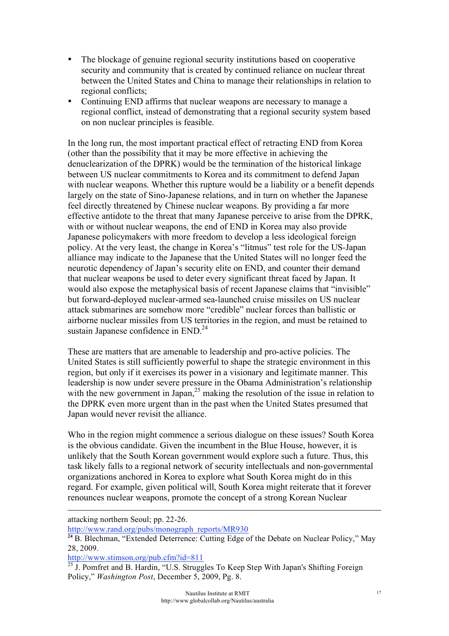- The blockage of genuine regional security institutions based on cooperative security and community that is created by continued reliance on nuclear threat between the United States and China to manage their relationships in relation to regional conflicts;
- Continuing END affirms that nuclear weapons are necessary to manage a regional conflict, instead of demonstrating that a regional security system based on non nuclear principles is feasible.

In the long run, the most important practical effect of retracting END from Korea (other than the possibility that it may be more effective in achieving the denuclearization of the DPRK) would be the termination of the historical linkage between US nuclear commitments to Korea and its commitment to defend Japan with nuclear weapons. Whether this rupture would be a liability or a benefit depends largely on the state of Sino-Japanese relations, and in turn on whether the Japanese feel directly threatened by Chinese nuclear weapons. By providing a far more effective antidote to the threat that many Japanese perceive to arise from the DPRK, with or without nuclear weapons, the end of END in Korea may also provide Japanese policymakers with more freedom to develop a less ideological foreign policy. At the very least, the change in Korea's "litmus" test role for the US-Japan alliance may indicate to the Japanese that the United States will no longer feed the neurotic dependency of Japan's security elite on END, and counter their demand that nuclear weapons be used to deter every significant threat faced by Japan. It would also expose the metaphysical basis of recent Japanese claims that "invisible" but forward-deployed nuclear-armed sea-launched cruise missiles on US nuclear attack submarines are somehow more "credible" nuclear forces than ballistic or airborne nuclear missiles from US territories in the region, and must be retained to sustain Japanese confidence in  $END<sup>24</sup>$ .

These are matters that are amenable to leadership and pro-active policies. The United States is still sufficiently powerful to shape the strategic environment in this region, but only if it exercises its power in a visionary and legitimate manner. This leadership is now under severe pressure in the Obama Administration's relationship with the new government in Japan,  $25$  making the resolution of the issue in relation to the DPRK even more urgent than in the past when the United States presumed that Japan would never revisit the alliance.

Who in the region might commence a serious dialogue on these issues? South Korea is the obvious candidate. Given the incumbent in the Blue House, however, it is unlikely that the South Korean government would explore such a future. Thus, this task likely falls to a regional network of security intellectuals and non-governmental organizations anchored in Korea to explore what South Korea might do in this regard. For example, given political will, South Korea might reiterate that it forever renounces nuclear weapons, promote the concept of a strong Korean Nuclear

 $\overline{a}$ 

http://www.stimson.org/pub.cfm?id=811

attacking northern Seoul; pp. 22-26.

http://www.rand.org/pubs/monograph\_reports/MR930

<sup>&</sup>lt;sup>24</sup> B. Blechman, "Extended Deterrence: Cutting Edge of the Debate on Nuclear Policy," May 28, 2009.

 $25$  J. Pomfret and B. Hardin, "U.S. Struggles To Keep Step With Japan's Shifting Foreign Policy," *Washington Post*, December 5, 2009, Pg. 8.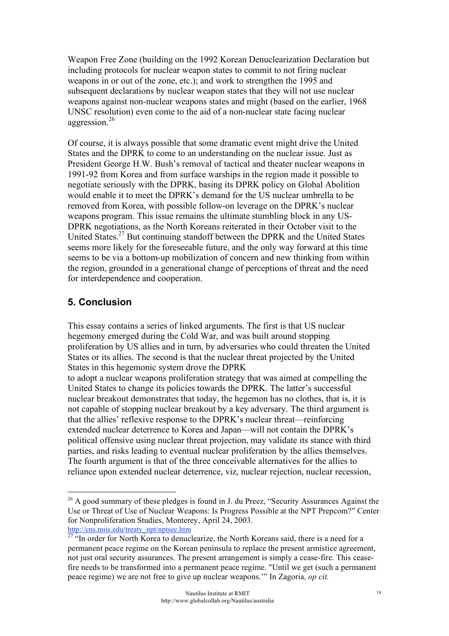Weapon Free Zone (building on the 1992 Korean Denuclearization Declaration but including protocols for nuclear weapon states to commit to not firing nuclear weapons in or out of the zone, etc.); and work to strengthen the 1995 and subsequent declarations by nuclear weapon states that they will not use nuclear weapons against non-nuclear weapons states and might (based on the earlier, 1968 UNSC resolution) even come to the aid of a non-nuclear state facing nuclear aggression.<sup>26</sup>

Of course, it is always possible that some dramatic event might drive the United States and the DPRK to come to an understanding on the nuclear issue. Just as President George H.W. Bush's removal of tactical and theater nuclear weapons in 1991-92 from Korea and from surface warships in the region made it possible to negotiate seriously with the DPRK, basing its DPRK policy on Global Abolition would enable it to meet the DPRK's demand for the US nuclear umbrella to be removed from Korea, with possible follow-on leverage on the DPRK's nuclear weapons program. This issue remains the ultimate stumbling block in any US-DPRK negotiations, as the North Koreans reiterated in their October visit to the United States.<sup>27</sup> But continuing standoff between the DPRK and the United States seems more likely for the foreseeable future, and the only way forward at this time seems to be via a bottom-up mobilization of concern and new thinking from within the region, grounded in a generational change of perceptions of threat and the need for interdependence and cooperation.

# **5. Conclusion**

This essay contains a series of linked arguments. The first is that US nuclear hegemony emerged during the Cold War, and was built around stopping proliferation by US allies and in turn, by adversaries who could threaten the United States or its allies. The second is that the nuclear threat projected by the United States in this hegemonic system drove the DPRK

to adopt a nuclear weapons proliferation strategy that was aimed at compelling the United States to change its policies towards the DPRK. The latter's successful nuclear breakout demonstrates that today, the hegemon has no clothes, that is, it is not capable of stopping nuclear breakout by a key adversary. The third argument is that the allies' reflexive response to the DPRK's nuclear threat—reinforcing extended nuclear deterrence to Korea and Japan—will not contain the DPRK's political offensive using nuclear threat projection, may validate its stance with third parties, and risks leading to eventual nuclear proliferation by the allies themselves. The fourth argument is that of the three conceivable alternatives for the allies to reliance upon extended nuclear deterrence, viz, nuclear rejection, nuclear recession,

 $26$  A good summary of these pledges is found in J. du Preez, "Security Assurances Against the Use or Threat of Use of Nuclear Weapons: Is Progress Possible at the NPT Prepcom?" Center for Nonproliferation Studies, Monterey, April 24, 2003.

http://cns.miis.edu/treaty\_npt/nptsec.htm

<sup>&</sup>lt;sup>27</sup> "In order for North Korea to denuclearize, the North Koreans said, there is a need for a permanent peace regime on the Korean peninsula to replace the present armistice agreement, not just oral security assurances. The present arrangement is simply a cease-fire. This ceasefire needs to be transformed into a permanent peace regime. "Until we get (such a permanent peace regime) we are not free to give up nuclear weapons.'" In Zagoria*, op cit.*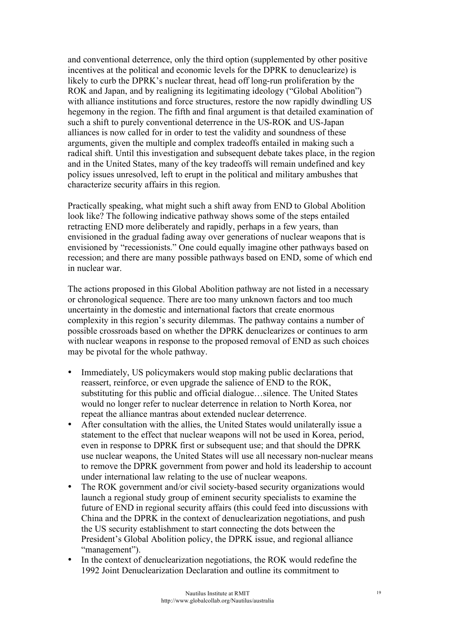and conventional deterrence, only the third option (supplemented by other positive incentives at the political and economic levels for the DPRK to denuclearize) is likely to curb the DPRK's nuclear threat, head off long-run proliferation by the ROK and Japan, and by realigning its legitimating ideology ("Global Abolition") with alliance institutions and force structures, restore the now rapidly dwindling US hegemony in the region. The fifth and final argument is that detailed examination of such a shift to purely conventional deterrence in the US-ROK and US-Japan alliances is now called for in order to test the validity and soundness of these arguments, given the multiple and complex tradeoffs entailed in making such a radical shift. Until this investigation and subsequent debate takes place, in the region and in the United States, many of the key tradeoffs will remain undefined and key policy issues unresolved, left to erupt in the political and military ambushes that characterize security affairs in this region.

Practically speaking, what might such a shift away from END to Global Abolition look like? The following indicative pathway shows some of the steps entailed retracting END more deliberately and rapidly, perhaps in a few years, than envisioned in the gradual fading away over generations of nuclear weapons that is envisioned by "recessionists." One could equally imagine other pathways based on recession; and there are many possible pathways based on END, some of which end in nuclear war.

The actions proposed in this Global Abolition pathway are not listed in a necessary or chronological sequence. There are too many unknown factors and too much uncertainty in the domestic and international factors that create enormous complexity in this region's security dilemmas. The pathway contains a number of possible crossroads based on whether the DPRK denuclearizes or continues to arm with nuclear weapons in response to the proposed removal of END as such choices may be pivotal for the whole pathway.

- Immediately, US policymakers would stop making public declarations that reassert, reinforce, or even upgrade the salience of END to the ROK, substituting for this public and official dialogue…silence. The United States would no longer refer to nuclear deterrence in relation to North Korea, nor repeat the alliance mantras about extended nuclear deterrence.
- After consultation with the allies, the United States would unilaterally issue a statement to the effect that nuclear weapons will not be used in Korea, period, even in response to DPRK first or subsequent use; and that should the DPRK use nuclear weapons, the United States will use all necessary non-nuclear means to remove the DPRK government from power and hold its leadership to account under international law relating to the use of nuclear weapons.
- The ROK government and/or civil society-based security organizations would launch a regional study group of eminent security specialists to examine the future of END in regional security affairs (this could feed into discussions with China and the DPRK in the context of denuclearization negotiations, and push the US security establishment to start connecting the dots between the President's Global Abolition policy, the DPRK issue, and regional alliance "management").
- In the context of denuclearization negotiations, the ROK would redefine the 1992 Joint Denuclearization Declaration and outline its commitment to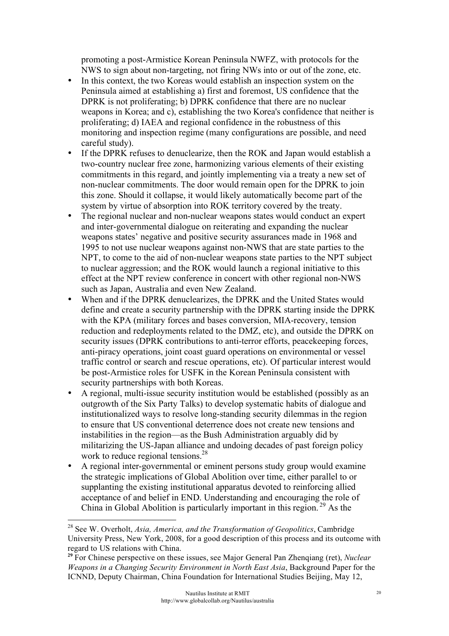promoting a post-Armistice Korean Peninsula NWFZ, with protocols for the NWS to sign about non-targeting, not firing NWs into or out of the zone, etc.

- In this context, the two Koreas would establish an inspection system on the Peninsula aimed at establishing a) first and foremost, US confidence that the DPRK is not proliferating; b) DPRK confidence that there are no nuclear weapons in Korea; and c), establishing the two Korea's confidence that neither is proliferating; d) IAEA and regional confidence in the robustness of this monitoring and inspection regime (many configurations are possible, and need careful study).
- If the DPRK refuses to denuclearize, then the ROK and Japan would establish a two-country nuclear free zone, harmonizing various elements of their existing commitments in this regard, and jointly implementing via a treaty a new set of non-nuclear commitments. The door would remain open for the DPRK to join this zone. Should it collapse, it would likely automatically become part of the system by virtue of absorption into ROK territory covered by the treaty.
- The regional nuclear and non-nuclear weapons states would conduct an expert and inter-governmental dialogue on reiterating and expanding the nuclear weapons states' negative and positive security assurances made in 1968 and 1995 to not use nuclear weapons against non-NWS that are state parties to the NPT, to come to the aid of non-nuclear weapons state parties to the NPT subject to nuclear aggression; and the ROK would launch a regional initiative to this effect at the NPT review conference in concert with other regional non-NWS such as Japan, Australia and even New Zealand.
- When and if the DPRK denuclearizes, the DPRK and the United States would define and create a security partnership with the DPRK starting inside the DPRK with the KPA (military forces and bases conversion, MIA-recovery, tension reduction and redeployments related to the DMZ, etc), and outside the DPRK on security issues (DPRK contributions to anti-terror efforts, peacekeeping forces, anti-piracy operations, joint coast guard operations on environmental or vessel traffic control or search and rescue operations, etc). Of particular interest would be post-Armistice roles for USFK in the Korean Peninsula consistent with security partnerships with both Koreas.
- A regional, multi-issue security institution would be established (possibly as an outgrowth of the Six Party Talks) to develop systematic habits of dialogue and institutionalized ways to resolve long-standing security dilemmas in the region to ensure that US conventional deterrence does not create new tensions and instabilities in the region—as the Bush Administration arguably did by militarizing the US-Japan alliance and undoing decades of past foreign policy work to reduce regional tensions.<sup>28</sup>
- A regional inter-governmental or eminent persons study group would examine the strategic implications of Global Abolition over time, either parallel to or supplanting the existing institutional apparatus devoted to reinforcing allied acceptance of and belief in END. Understanding and encouraging the role of China in Global Abolition is particularly important in this region.<sup>29</sup> As the

 <sup>28</sup> See W. Overholt, *Asia, America, and the Transformation of Geopolitics*, Cambridge University Press, New York, 2008, for a good description of this process and its outcome with regard to US relations with China.

**<sup>29</sup>** For Chinese perspective on these issues, see Major General Pan Zhenqiang (ret), *Nuclear Weapons in a Changing Security Environment in North East Asia*, Background Paper for the ICNND, Deputy Chairman, China Foundation for International Studies Beijing, May 12,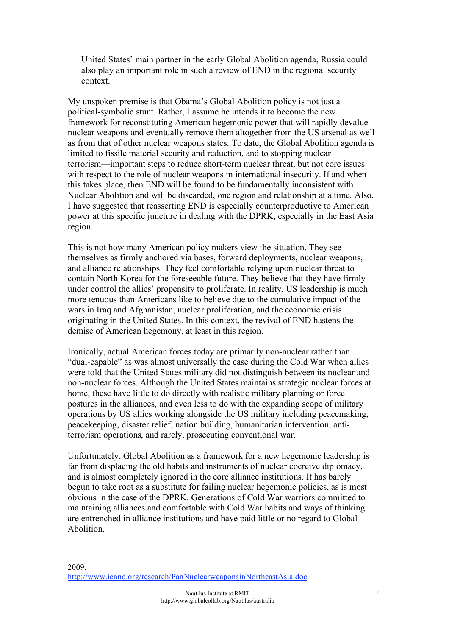United States' main partner in the early Global Abolition agenda, Russia could also play an important role in such a review of END in the regional security context.

My unspoken premise is that Obama's Global Abolition policy is not just a political-symbolic stunt. Rather, I assume he intends it to become the new framework for reconstituting American hegemonic power that will rapidly devalue nuclear weapons and eventually remove them altogether from the US arsenal as well as from that of other nuclear weapons states. To date, the Global Abolition agenda is limited to fissile material security and reduction, and to stopping nuclear terrorism—important steps to reduce short-term nuclear threat, but not core issues with respect to the role of nuclear weapons in international insecurity. If and when this takes place, then END will be found to be fundamentally inconsistent with Nuclear Abolition and will be discarded, one region and relationship at a time. Also, I have suggested that reasserting END is especially counterproductive to American power at this specific juncture in dealing with the DPRK, especially in the East Asia region.

This is not how many American policy makers view the situation. They see themselves as firmly anchored via bases, forward deployments, nuclear weapons, and alliance relationships. They feel comfortable relying upon nuclear threat to contain North Korea for the foreseeable future. They believe that they have firmly under control the allies' propensity to proliferate. In reality, US leadership is much more tenuous than Americans like to believe due to the cumulative impact of the wars in Iraq and Afghanistan, nuclear proliferation, and the economic crisis originating in the United States. In this context, the revival of END hastens the demise of American hegemony, at least in this region.

Ironically, actual American forces today are primarily non-nuclear rather than "dual-capable" as was almost universally the case during the Cold War when allies were told that the United States military did not distinguish between its nuclear and non-nuclear forces. Although the United States maintains strategic nuclear forces at home, these have little to do directly with realistic military planning or force postures in the alliances, and even less to do with the expanding scope of military operations by US allies working alongside the US military including peacemaking, peacekeeping, disaster relief, nation building, humanitarian intervention, antiterrorism operations, and rarely, prosecuting conventional war.

Unfortunately, Global Abolition as a framework for a new hegemonic leadership is far from displacing the old habits and instruments of nuclear coercive diplomacy, and is almost completely ignored in the core alliance institutions. It has barely begun to take root as a substitute for failing nuclear hegemonic policies, as is most obvious in the case of the DPRK. Generations of Cold War warriors committed to maintaining alliances and comfortable with Cold War habits and ways of thinking are entrenched in alliance institutions and have paid little or no regard to Global Abolition.

 $\overline{a}$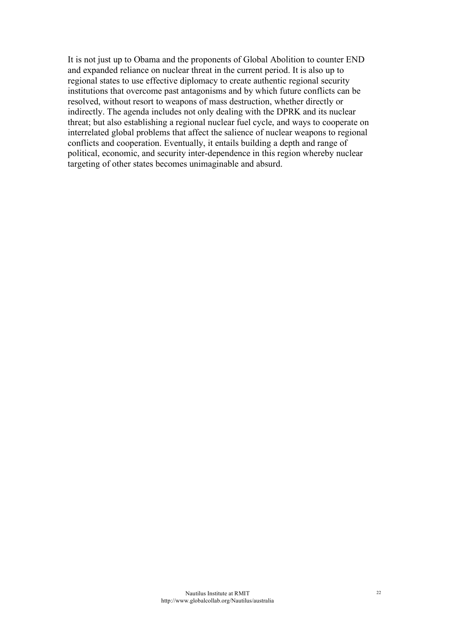It is not just up to Obama and the proponents of Global Abolition to counter END and expanded reliance on nuclear threat in the current period. It is also up to regional states to use effective diplomacy to create authentic regional security institutions that overcome past antagonisms and by which future conflicts can be resolved, without resort to weapons of mass destruction, whether directly or indirectly. The agenda includes not only dealing with the DPRK and its nuclear threat; but also establishing a regional nuclear fuel cycle, and ways to cooperate on interrelated global problems that affect the salience of nuclear weapons to regional conflicts and cooperation. Eventually, it entails building a depth and range of political, economic, and security inter-dependence in this region whereby nuclear targeting of other states becomes unimaginable and absurd.